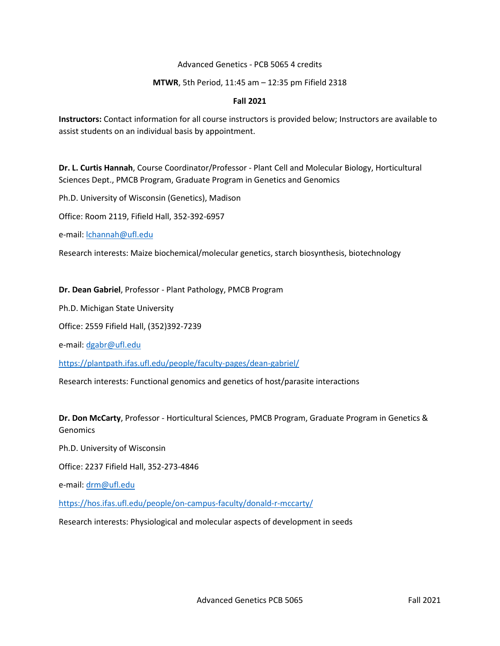### Advanced Genetics ‐ PCB 5065 4 credits

### **MTWR**, 5th Period, 11:45 am – 12:35 pm Fifield 2318

### **Fall 2021**

**Instructors:** Contact information for all course instructors is provided below; Instructors are available to assist students on an individual basis by appointment.

**Dr. L. Curtis Hannah**, Course Coordinator/Professor ‐ Plant Cell and Molecular Biology, Horticultural Sciences Dept., PMCB Program, Graduate Program in Genetics and Genomics

Ph.D. University of Wisconsin (Genetics), Madison

Office: Room 2119, Fifield Hall, 352-392‐6957

e‐mail: lchannah@ufl.edu

Research interests: Maize biochemical/molecular genetics, starch biosynthesis, biotechnology

### **Dr. Dean Gabriel**, Professor ‐ Plant Pathology, PMCB Program

Ph.D. Michigan State University

Office: 2559 Fifield Hall, (352)392‐7239

e‐mail: dgabr@ufl.edu

<https://plantpath.ifas.ufl.edu/people/faculty-pages/dean-gabriel/>

Research interests: Functional genomics and genetics of host/parasite interactions

**Dr. Don McCarty**, Professor ‐ Horticultural Sciences, PMCB Program, Graduate Program in Genetics & **Genomics** 

Ph.D. University of Wisconsin

Office: 2237 Fifield Hall, 352-273‐4846

e-mail: drm@ufl.edu

<https://hos.ifas.ufl.edu/people/on-campus-faculty/donald-r-mccarty/>

Research interests: Physiological and molecular aspects of development in seeds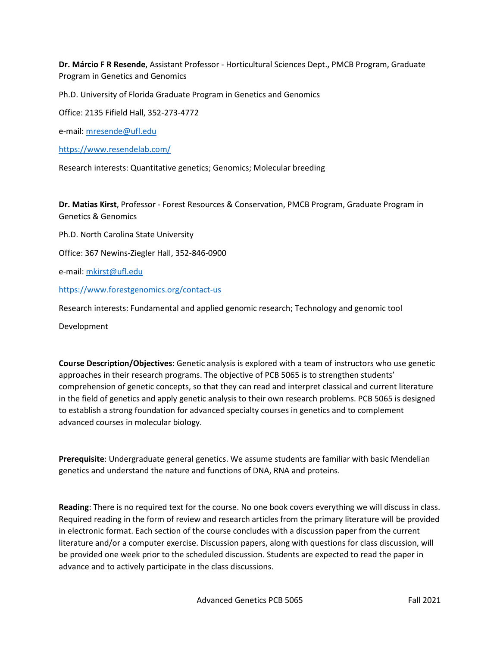**Dr. Márcio F R Resende**, Assistant Professor - Horticultural Sciences Dept., PMCB Program, Graduate Program in Genetics and Genomics

Ph.D. University of Florida Graduate Program in Genetics and Genomics

Office: 2135 Fifield Hall, 352-273‐4772

e-mail: mresende@ufl.edu

<https://www.resendelab.com/>

Research interests: Quantitative genetics; Genomics; Molecular breeding

**Dr. Matias Kirst**, Professor - Forest Resources & Conservation, PMCB Program, Graduate Program in Genetics & Genomics

Ph.D. North Carolina State University

Office: 367 Newins‐Ziegler Hall, 352-846‐0900

e‐mail: mkirst@ufl.edu

<https://www.forestgenomics.org/contact-us>

Research interests: Fundamental and applied genomic research; Technology and genomic tool

Development

**Course Description/Objectives**: Genetic analysis is explored with a team of instructors who use genetic approaches in their research programs. The objective of PCB 5065 is to strengthen students' comprehension of genetic concepts, so that they can read and interpret classical and current literature in the field of genetics and apply genetic analysis to their own research problems. PCB 5065 is designed to establish a strong foundation for advanced specialty courses in genetics and to complement advanced courses in molecular biology.

**Prerequisite**: Undergraduate general genetics. We assume students are familiar with basic Mendelian genetics and understand the nature and functions of DNA, RNA and proteins.

**Reading**: There is no required text for the course. No one book covers everything we will discuss in class. Required reading in the form of review and research articles from the primary literature will be provided in electronic format. Each section of the course concludes with a discussion paper from the current literature and/or a computer exercise. Discussion papers, along with questions for class discussion, will be provided one week prior to the scheduled discussion. Students are expected to read the paper in advance and to actively participate in the class discussions.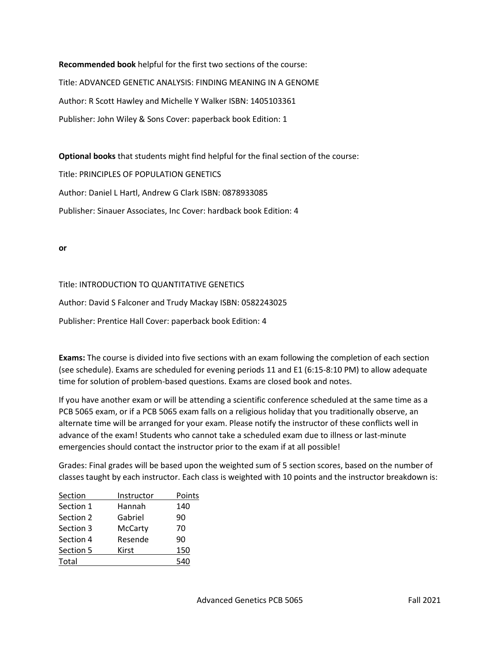**Recommended book** helpful for the first two sections of the course: Title: ADVANCED GENETIC ANALYSIS: FINDING MEANING IN A GENOME Author: R Scott Hawley and Michelle Y Walker ISBN: 1405103361 Publisher: John Wiley & Sons Cover: paperback book Edition: 1

**Optional books** that students might find helpful for the final section of the course:

Title: PRINCIPLES OF POPULATION GENETICS

Author: Daniel L Hartl, Andrew G Clark ISBN: 0878933085

Publisher: Sinauer Associates, Inc Cover: hardback book Edition: 4

**or**

### Title: INTRODUCTION TO QUANTITATIVE GENETICS

Author: David S Falconer and Trudy Mackay ISBN: 0582243025

Publisher: Prentice Hall Cover: paperback book Edition: 4

**Exams:** The course is divided into five sections with an exam following the completion of each section (see schedule). Exams are scheduled for evening periods 11 and E1 (6:15‐8:10 PM) to allow adequate time for solution of problem‐based questions. Exams are closed book and notes.

If you have another exam or will be attending a scientific conference scheduled at the same time as a PCB 5065 exam, or if a PCB 5065 exam falls on a religious holiday that you traditionally observe, an alternate time will be arranged for your exam. Please notify the instructor of these conflicts well in advance of the exam! Students who cannot take a scheduled exam due to illness or last‐minute emergencies should contact the instructor prior to the exam if at all possible!

Grades: Final grades will be based upon the weighted sum of 5 section scores, based on the number of classes taught by each instructor. Each class is weighted with 10 points and the instructor breakdown is:

| Section   | Instructor     | Points |
|-----------|----------------|--------|
| Section 1 | Hannah         | 140    |
| Section 2 | Gabriel        | 90     |
| Section 3 | <b>McCarty</b> | 70     |
| Section 4 | Resende        | 90     |
| Section 5 | Kirst          | 150    |
| Total     |                |        |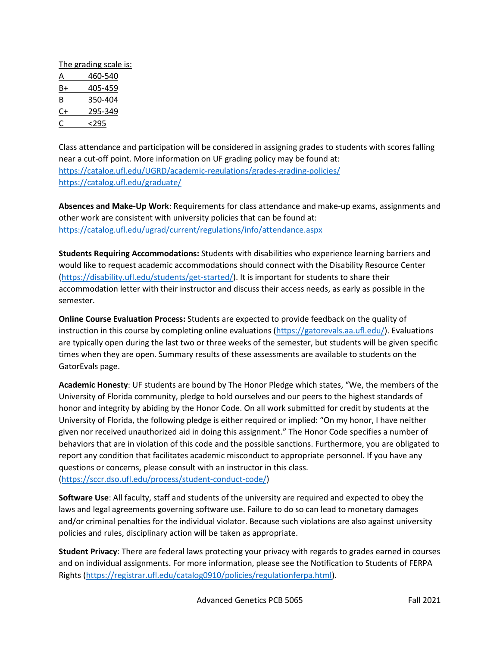| The grading scale is: |         |  |
|-----------------------|---------|--|
| Α                     | 460-540 |  |
| B+                    | 405-459 |  |
| В                     | 350-404 |  |
| C+                    | 295-349 |  |
| Ċ                     | <295    |  |
|                       |         |  |

Class attendance and participation will be considered in assigning grades to students with scores falling near a cut-off point. More information on UF grading policy may be found at: <https://catalog.ufl.edu/UGRD/academic-regulations/grades-grading-policies/> <https://catalog.ufl.edu/graduate/>

**Absences and Make‐Up Work**: Requirements for class attendance and make‐up exams, assignments and other work are consistent with university policies that can be found at: <https://catalog.ufl.edu/ugrad/current/regulations/info/attendance.aspx>

**Students Requiring Accommodations:** Students with disabilities who experience learning barriers and would like to request academic accommodations should connect with the Disability Resource Center [\(https://disability.ufl.edu/students/get-started/\)](https://disability.ufl.edu/students/get-started/). It is important for students to share their accommodation letter with their instructor and discuss their access needs, as early as possible in the semester.

**Online Course Evaluation Process:** Students are expected to provide feedback on the quality of instruction in this course by completing online evaluations [\(https://gatorevals.aa.ufl.edu/\)](https://gatorevals.aa.ufl.edu/). Evaluations are typically open during the last two or three weeks of the semester, but students will be given specific times when they are open. Summary results of these assessments are available to students on the GatorEvals page.

**Academic Honesty**: UF students are bound by The Honor Pledge which states, "We, the members of the University of Florida community, pledge to hold ourselves and our peers to the highest standards of honor and integrity by abiding by the Honor Code. On all work submitted for credit by students at the University of Florida, the following pledge is either required or implied: "On my honor, I have neither given nor received unauthorized aid in doing this assignment." The Honor Code specifies a number of behaviors that are in violation of this code and the possible sanctions. Furthermore, you are obligated to report any condition that facilitates academic misconduct to appropriate personnel. If you have any questions or concerns, please consult with an instructor in this class. [\(https://sccr.dso.ufl.edu/process/student-conduct-code/\)](https://sccr.dso.ufl.edu/process/student-conduct-code/)

**Software Use**: All faculty, staff and students of the university are required and expected to obey the laws and legal agreements governing software use. Failure to do so can lead to monetary damages and/or criminal penalties for the individual violator. Because such violations are also against university policies and rules, disciplinary action will be taken as appropriate.

**Student Privacy**: There are federal laws protecting your privacy with regards to grades earned in courses and on individual assignments. For more information, please see the Notification to Students of FERPA Rights [\(https://registrar.ufl.edu/catalog0910/policies/regulationferpa.html\)](https://registrar.ufl.edu/catalog0910/policies/regulationferpa.html).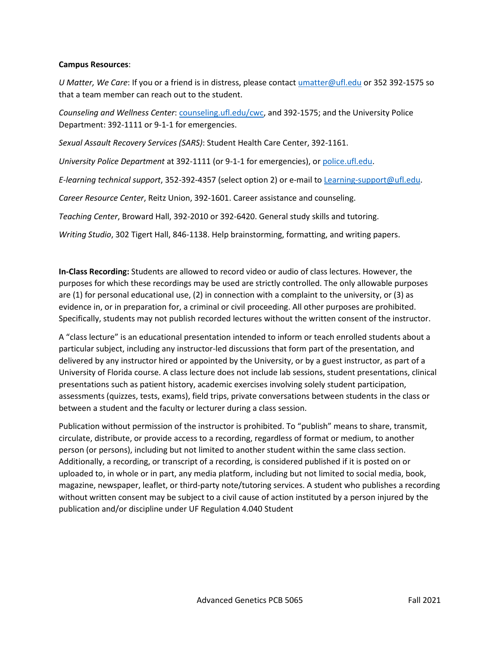### **Campus Resources**:

*U Matter, We Care*: If you or a friend is in distress, please contact umatter@ufl.edu or 352 392-1575 so that a team member can reach out to the student.

*Counseling and Wellness Center*: counseling.ufl.edu/cwc, and 392-1575; and the University Police Department: 392-1111 or 9-1-1 for emergencies.

*Sexual Assault Recovery Services (SARS)*: Student Health Care Center, 392-1161.

*University Police Department* at 392-1111 (or 9-1-1 for emergencies), or police.ufl.edu.

*E-learning technical support*, 352-392-4357 (select option 2) or e-mail to Learning-support@ufl.edu.

*Career Resource Center*, Reitz Union, 392-1601. Career assistance and counseling.

*Teaching Center*, Broward Hall, 392-2010 or 392-6420. General study skills and tutoring.

*Writing Studio*, 302 Tigert Hall, 846-1138. Help brainstorming, formatting, and writing papers.

**In-Class Recording:** Students are allowed to record video or audio of class lectures. However, the purposes for which these recordings may be used are strictly controlled. The only allowable purposes are (1) for personal educational use, (2) in connection with a complaint to the university, or (3) as evidence in, or in preparation for, a criminal or civil proceeding. All other purposes are prohibited. Specifically, students may not publish recorded lectures without the written consent of the instructor.

A "class lecture" is an educational presentation intended to inform or teach enrolled students about a particular subject, including any instructor-led discussions that form part of the presentation, and delivered by any instructor hired or appointed by the University, or by a guest instructor, as part of a University of Florida course. A class lecture does not include lab sessions, student presentations, clinical presentations such as patient history, academic exercises involving solely student participation, assessments (quizzes, tests, exams), field trips, private conversations between students in the class or between a student and the faculty or lecturer during a class session.

Publication without permission of the instructor is prohibited. To "publish" means to share, transmit, circulate, distribute, or provide access to a recording, regardless of format or medium, to another person (or persons), including but not limited to another student within the same class section. Additionally, a recording, or transcript of a recording, is considered published if it is posted on or uploaded to, in whole or in part, any media platform, including but not limited to social media, book, magazine, newspaper, leaflet, or third-party note/tutoring services. A student who publishes a recording without written consent may be subject to a civil cause of action instituted by a person injured by the publication and/or discipline under UF Regulation 4.040 Student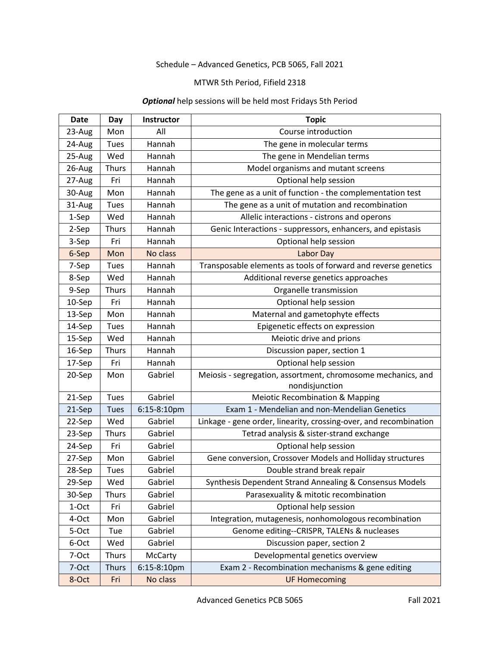# Schedule – Advanced Genetics, PCB 5065, Fall 2021

## MTWR 5th Period, Fifield 2318

# *Optional* help sessions will be held most Fridays 5th Period

| <b>Date</b> | Day          | <b>Instructor</b> | <b>Topic</b>                                                                   |  |
|-------------|--------------|-------------------|--------------------------------------------------------------------------------|--|
| 23-Aug      | Mon          | All               | Course introduction                                                            |  |
| 24-Aug      | Tues         | Hannah            | The gene in molecular terms                                                    |  |
| 25-Aug      | Wed          | Hannah            | The gene in Mendelian terms                                                    |  |
| 26-Aug      | <b>Thurs</b> | Hannah            | Model organisms and mutant screens                                             |  |
| 27-Aug      | Fri          | Hannah            | Optional help session                                                          |  |
| 30-Aug      | Mon          | Hannah            | The gene as a unit of function - the complementation test                      |  |
| 31-Aug      | Tues         | Hannah            | The gene as a unit of mutation and recombination                               |  |
| 1-Sep       | Wed          | Hannah            | Allelic interactions - cistrons and operons                                    |  |
| 2-Sep       | <b>Thurs</b> | Hannah            | Genic Interactions - suppressors, enhancers, and epistasis                     |  |
| 3-Sep       | Fri          | Hannah            | Optional help session                                                          |  |
| 6-Sep       | Mon          | No class          | Labor Day                                                                      |  |
| 7-Sep       | Tues         | Hannah            | Transposable elements as tools of forward and reverse genetics                 |  |
| 8-Sep       | Wed          | Hannah            | Additional reverse genetics approaches                                         |  |
| 9-Sep       | <b>Thurs</b> | Hannah            | Organelle transmission                                                         |  |
| 10-Sep      | Fri          | Hannah            | Optional help session                                                          |  |
| 13-Sep      | Mon          | Hannah            | Maternal and gametophyte effects                                               |  |
| 14-Sep      | <b>Tues</b>  | Hannah            | Epigenetic effects on expression                                               |  |
| 15-Sep      | Wed          | Hannah            | Meiotic drive and prions                                                       |  |
| 16-Sep      | <b>Thurs</b> | Hannah            | Discussion paper, section 1                                                    |  |
| 17-Sep      | Fri          | Hannah            | Optional help session                                                          |  |
| 20-Sep      | Mon          | Gabriel           | Meiosis - segregation, assortment, chromosome mechanics, and<br>nondisjunction |  |
| 21-Sep      | <b>Tues</b>  | Gabriel           | <b>Meiotic Recombination &amp; Mapping</b>                                     |  |
| 21-Sep      | <b>Tues</b>  | 6:15-8:10pm       | Exam 1 - Mendelian and non-Mendelian Genetics                                  |  |
| 22-Sep      | Wed          | Gabriel           | Linkage - gene order, linearity, crossing-over, and recombination              |  |
| 23-Sep      | <b>Thurs</b> | Gabriel           | Tetrad analysis & sister-strand exchange                                       |  |
| 24-Sep      | Fri          | Gabriel           | Optional help session                                                          |  |
| 27-Sep      | Mon          | Gabriel           | Gene conversion, Crossover Models and Holliday structures                      |  |
| 28-Sep      | Tues         | Gabriel           | Double strand break repair                                                     |  |
| 29-Sep      | Wed          | Gabriel           | Synthesis Dependent Strand Annealing & Consensus Models                        |  |
| 30-Sep      | <b>Thurs</b> | Gabriel           | Parasexuality & mitotic recombination                                          |  |
| 1-Oct       | Fri          | Gabriel           | Optional help session                                                          |  |
| 4-Oct       | Mon          | Gabriel           | Integration, mutagenesis, nonhomologous recombination                          |  |
| 5-Oct       | Tue          | Gabriel           | Genome editing--CRISPR, TALENs & nucleases                                     |  |
| 6-Oct       | Wed          | Gabriel           | Discussion paper, section 2                                                    |  |
| 7-Oct       | <b>Thurs</b> | McCarty           | Developmental genetics overview                                                |  |
| 7-Oct       | <b>Thurs</b> | 6:15-8:10pm       | Exam 2 - Recombination mechanisms & gene editing                               |  |
| 8-Oct       | Fri          | No class          | <b>UF Homecoming</b>                                                           |  |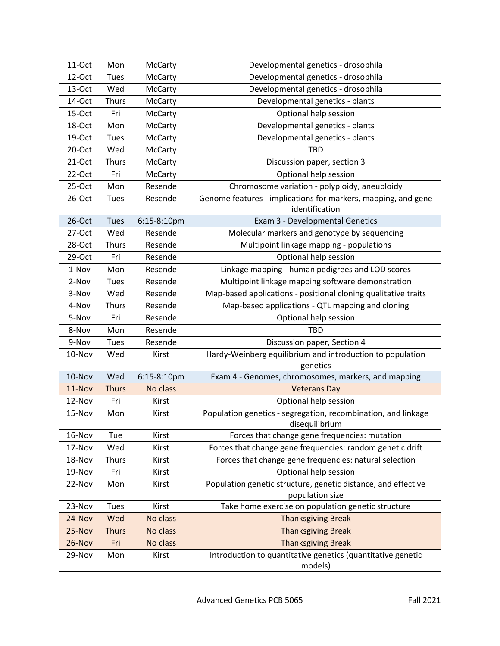| 11-Oct | Mon          | McCarty        | Developmental genetics - drosophila                                              |  |
|--------|--------------|----------------|----------------------------------------------------------------------------------|--|
| 12-Oct | Tues         | McCarty        | Developmental genetics - drosophila                                              |  |
| 13-Oct | Wed          | McCarty        | Developmental genetics - drosophila                                              |  |
| 14-Oct | <b>Thurs</b> | McCarty        | Developmental genetics - plants                                                  |  |
| 15-Oct | Fri          | McCarty        | Optional help session                                                            |  |
| 18-Oct | Mon          | McCarty        | Developmental genetics - plants                                                  |  |
| 19-Oct | Tues         | McCarty        | Developmental genetics - plants                                                  |  |
| 20-Oct | Wed          | McCarty        | <b>TBD</b>                                                                       |  |
| 21-Oct | <b>Thurs</b> | McCarty        | Discussion paper, section 3                                                      |  |
| 22-Oct | Fri          | <b>McCarty</b> | Optional help session                                                            |  |
| 25-Oct | Mon          | Resende        | Chromosome variation - polyploidy, aneuploidy                                    |  |
| 26-Oct | Tues         | Resende        | Genome features - implications for markers, mapping, and gene<br>identification  |  |
| 26-Oct | <b>Tues</b>  | 6:15-8:10pm    | Exam 3 - Developmental Genetics                                                  |  |
| 27-Oct | Wed          | Resende        | Molecular markers and genotype by sequencing                                     |  |
| 28-Oct | <b>Thurs</b> | Resende        | Multipoint linkage mapping - populations                                         |  |
| 29-Oct | Fri          | Resende        | Optional help session                                                            |  |
| 1-Nov  | Mon          | Resende        | Linkage mapping - human pedigrees and LOD scores                                 |  |
| 2-Nov  | <b>Tues</b>  | Resende        | Multipoint linkage mapping software demonstration                                |  |
| 3-Nov  | Wed          | Resende        | Map-based applications - positional cloning qualitative traits                   |  |
| 4-Nov  | <b>Thurs</b> | Resende        | Map-based applications - QTL mapping and cloning                                 |  |
| 5-Nov  | Fri          | Resende        | Optional help session                                                            |  |
| 8-Nov  | Mon          | Resende        | <b>TBD</b>                                                                       |  |
| 9-Nov  | Tues         | Resende        | Discussion paper, Section 4                                                      |  |
| 10-Nov | Wed          | Kirst          | Hardy-Weinberg equilibrium and introduction to population<br>genetics            |  |
| 10-Nov | Wed          | 6:15-8:10pm    | Exam 4 - Genomes, chromosomes, markers, and mapping                              |  |
| 11-Nov | <b>Thurs</b> | No class       | <b>Veterans Day</b>                                                              |  |
| 12-Nov | Fri          | Kirst          | Optional help session                                                            |  |
| 15-Nov | Mon          | Kirst          | Population genetics - segregation, recombination, and linkage<br>disequilibrium  |  |
| 16-Nov | Tue          | Kirst          | Forces that change gene frequencies: mutation                                    |  |
| 17-Nov | Wed          | Kirst          | Forces that change gene frequencies: random genetic drift                        |  |
| 18-Nov | Thurs        | Kirst          | Forces that change gene frequencies: natural selection                           |  |
| 19-Nov | Fri          | Kirst          | Optional help session                                                            |  |
| 22-Nov | Mon          | Kirst          | Population genetic structure, genetic distance, and effective<br>population size |  |
| 23-Nov | Tues         | Kirst          | Take home exercise on population genetic structure                               |  |
| 24-Nov | Wed          | No class       | <b>Thanksgiving Break</b>                                                        |  |
| 25-Nov | <b>Thurs</b> | No class       | <b>Thanksgiving Break</b>                                                        |  |
| 26-Nov | Fri          | No class       | <b>Thanksgiving Break</b>                                                        |  |
| 29-Nov | Mon          | Kirst          | Introduction to quantitative genetics (quantitative genetic<br>models)           |  |